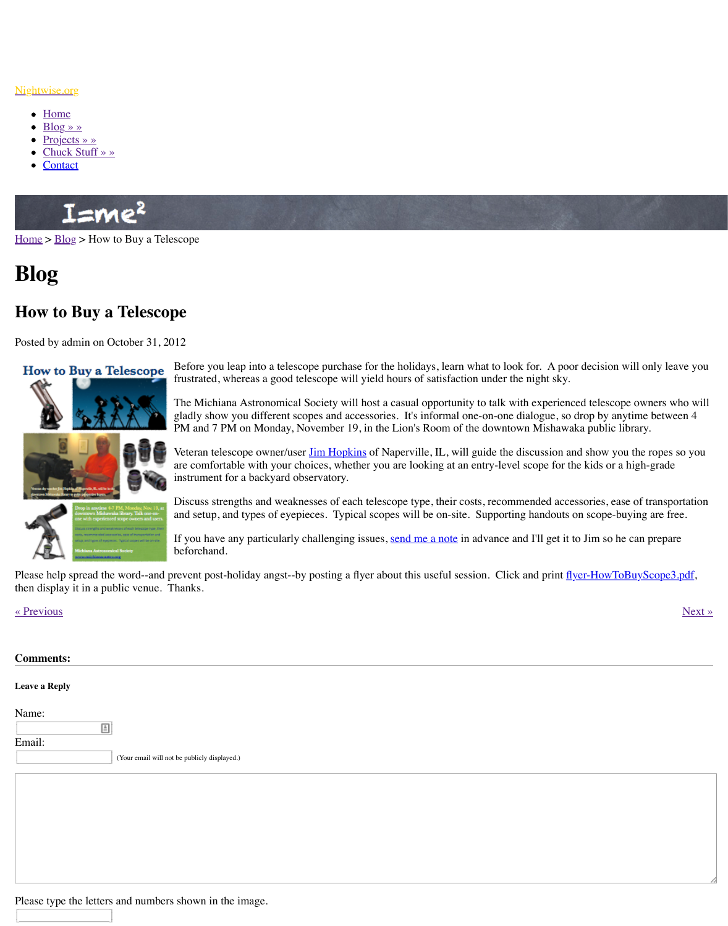How to Buy a Telescope



Before you leap into a telescope purchase for the holidays, learn what to look for. A poor decision will only leave you frustrated, whereas a good telescope will yield hours of satisfaction.

The Michiana Astronomical Society will host a casual op gladly show you different scopes and accessories. It's inf PM and 7 PM on Monday, November 19, in the Lion's Room and 7 PM on Monday, November 19, in the Lion's Room.

Veteran telescope owner/user **Jim Hopkins** of Naperville, are comfortable with your choices, whether you are looking instrument for a backyard observatory.

Discuss strengths and weaknesses of each telescope type, and setup, and types of eyepieces. Typical scopes will be

If you have any particularly challenging issues, send me a beforehand.

Please help spread the word--and prevent post-holiday angst--by posting a flyer about this use then display it in a public venue. Thanks.

[« Prev](http://www.nightwise.org/)io[us](http://www.nightwise.org/blog/) » Next » Next » Next » Next » Next » Next » Next » Next » Next » Next » Next » Next » Next » Next » Next » Next » Next » Next » Next » Next » Next » Next » Next » Next » Next » Next » Next » Next » Next » Next »

| <b>Comments:</b>     |                                              |
|----------------------|----------------------------------------------|
| <b>Leave a Reply</b> |                                              |
| Name:                | $\triangleq$                                 |
| Email:               | (Your email will not be publicly displayed.) |
|                      |                                              |
|                      |                                              |
|                      |                                              |

Please type the letters and numbers shown in the image.